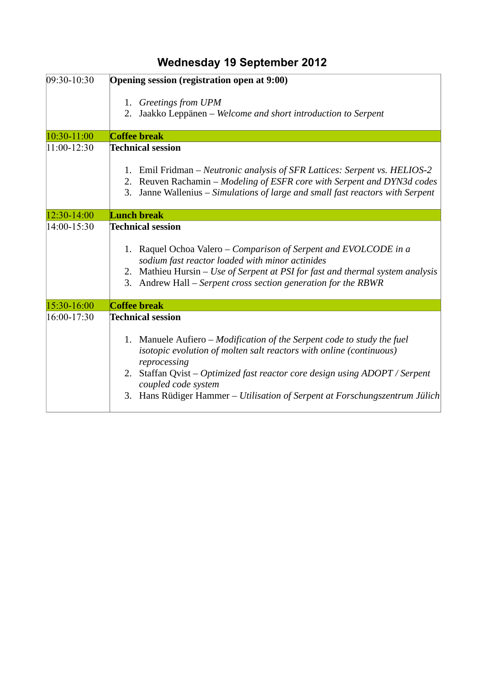| 09:30-10:30   | Opening session (registration open at 9:00)                                                                                                                                                                                                                                                                                                            |
|---------------|--------------------------------------------------------------------------------------------------------------------------------------------------------------------------------------------------------------------------------------------------------------------------------------------------------------------------------------------------------|
|               | 1. Greetings from UPM<br>Jaakko Leppänen - Welcome and short introduction to Serpent<br>2.                                                                                                                                                                                                                                                             |
| 10:30-11:00   | <b>Coffee break</b>                                                                                                                                                                                                                                                                                                                                    |
| $11:00-12:30$ | <b>Technical session</b>                                                                                                                                                                                                                                                                                                                               |
|               | 1. Emil Fridman - Neutronic analysis of SFR Lattices: Serpent vs. HELIOS-2<br>2. Reuven Rachamin - Modeling of ESFR core with Serpent and DYN3d codes<br>Janne Wallenius - Simulations of large and small fast reactors with Serpent<br>3.                                                                                                             |
| 12:30-14:00   | <b>Lunch break</b>                                                                                                                                                                                                                                                                                                                                     |
| $14:00-15:30$ | <b>Technical session</b><br>1. Raquel Ochoa Valero – Comparison of Serpent and EVOLCODE in a<br>sodium fast reactor loaded with minor actinides<br>2. Mathieu Hursin - Use of Serpent at PSI for fast and thermal system analysis<br>Andrew Hall - Serpent cross section generation for the RBWR<br>3.                                                 |
| 15:30-16:00   | <b>Coffee break</b>                                                                                                                                                                                                                                                                                                                                    |
| 16:00-17:30   | <b>Technical session</b>                                                                                                                                                                                                                                                                                                                               |
|               | 1. Manuele Aufiero - Modification of the Serpent code to study the fuel<br>isotopic evolution of molten salt reactors with online (continuous)<br>reprocessing<br>2. Staffan Qvist - Optimized fast reactor core design using ADOPT / Serpent<br>coupled code system<br>Hans Rüdiger Hammer - Utilisation of Serpent at Forschungszentrum Jülich<br>3. |

## **Wednesday 19 September 2012**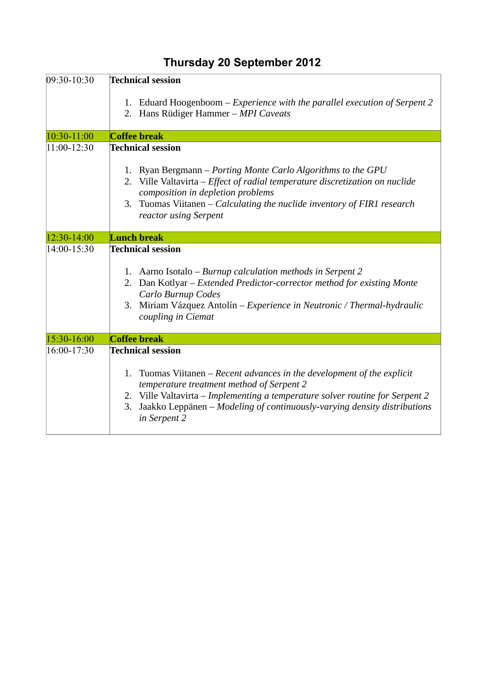| 09:30-10:30   | <b>Technical session</b>                                                                                                                                                                                                                                                                                                            |
|---------------|-------------------------------------------------------------------------------------------------------------------------------------------------------------------------------------------------------------------------------------------------------------------------------------------------------------------------------------|
|               | 1. Eduard Hoogenboom – Experience with the parallel execution of Serpent 2<br>2. Hans Rüdiger Hammer - MPI Caveats                                                                                                                                                                                                                  |
| 10:30-11:00   | <b>Coffee break</b>                                                                                                                                                                                                                                                                                                                 |
| $11:00-12:30$ | <b>Technical session</b><br>1. Ryan Bergmann – Porting Monte Carlo Algorithms to the GPU<br>2. Ville Valtavirta - Effect of radial temperature discretization on nuclide<br>composition in depletion problems<br>Tuomas Viitanen – Calculating the nuclide inventory of FIR1 research<br>3.<br>reactor using Serpent                |
| 12:30-14:00   | <b>Lunch break</b>                                                                                                                                                                                                                                                                                                                  |
| 14:00-15:30   | <b>Technical session</b><br>1. Aarno Isotalo – Burnup calculation methods in Serpent 2<br>2. Dan Kotlyar – Extended Predictor-corrector method for existing Monte<br>Carlo Burnup Codes<br>3. Miriam Vázquez Antolín – Experience in Neutronic / Thermal-hydraulic<br>coupling in Ciemat                                            |
| 15:30-16:00   | <b>Coffee break</b>                                                                                                                                                                                                                                                                                                                 |
| $16:00-17:30$ | <b>Technical session</b><br>1. Tuomas Viitanen – Recent advances in the development of the explicit<br>temperature treatment method of Serpent 2<br>2. Ville Valtavirta - Implementing a temperature solver routine for Serpent 2<br>Jaakko Leppänen – Modeling of continuously-varying density distributions<br>3.<br>in Serpent 2 |

## **Thursday 20 September 2012**